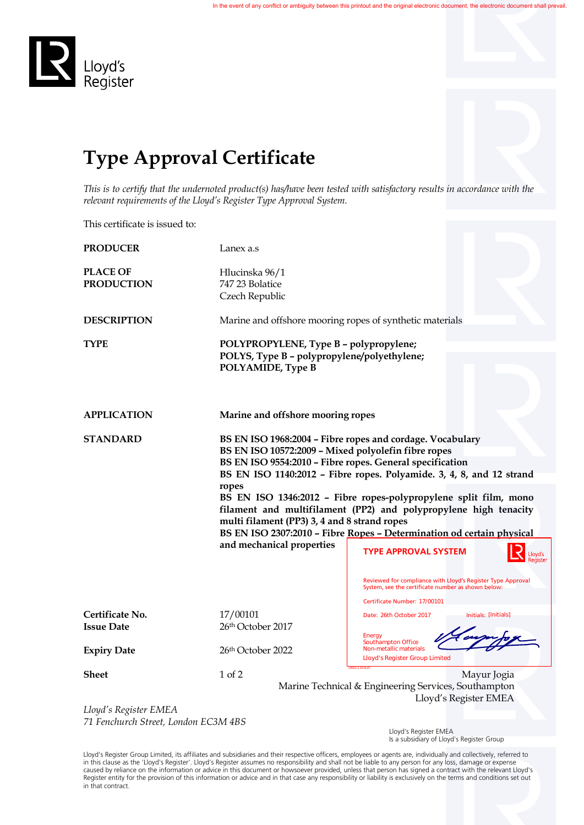

## **Type Approval Certificate**

*This is to certify that the undernoted product(s) has/have been tested with satisfactory results in accordance with the relevant requirements of the Lloyd's Register Type Approval System.*

This certificate is issued to:

| <b>PRODUCER</b>                                                 | Lanex a.s                                                                                                                                                                                                                                                                                                                                                                                |                                                      |  |                                                                                                                   |                                                                       |
|-----------------------------------------------------------------|------------------------------------------------------------------------------------------------------------------------------------------------------------------------------------------------------------------------------------------------------------------------------------------------------------------------------------------------------------------------------------------|------------------------------------------------------|--|-------------------------------------------------------------------------------------------------------------------|-----------------------------------------------------------------------|
| <b>PLACE OF</b>                                                 | Hlucinska 96/1                                                                                                                                                                                                                                                                                                                                                                           |                                                      |  |                                                                                                                   |                                                                       |
| <b>PRODUCTION</b>                                               | 747 23 Bolatice                                                                                                                                                                                                                                                                                                                                                                          |                                                      |  |                                                                                                                   |                                                                       |
|                                                                 | Czech Republic                                                                                                                                                                                                                                                                                                                                                                           |                                                      |  |                                                                                                                   |                                                                       |
| <b>DESCRIPTION</b>                                              | Marine and offshore mooring ropes of synthetic materials                                                                                                                                                                                                                                                                                                                                 |                                                      |  |                                                                                                                   |                                                                       |
| <b>TYPE</b>                                                     | POLYPROPYLENE, Type B - polypropylene;                                                                                                                                                                                                                                                                                                                                                   |                                                      |  |                                                                                                                   |                                                                       |
|                                                                 | POLYS, Type B - polypropylene/polyethylene;<br>POLYAMIDE, Type B                                                                                                                                                                                                                                                                                                                         |                                                      |  |                                                                                                                   |                                                                       |
|                                                                 |                                                                                                                                                                                                                                                                                                                                                                                          |                                                      |  |                                                                                                                   |                                                                       |
| <b>APPLICATION</b>                                              | Marine and offshore mooring ropes                                                                                                                                                                                                                                                                                                                                                        |                                                      |  |                                                                                                                   |                                                                       |
| <b>STANDARD</b>                                                 | BS EN ISO 1968:2004 - Fibre ropes and cordage. Vocabulary                                                                                                                                                                                                                                                                                                                                |                                                      |  |                                                                                                                   |                                                                       |
|                                                                 | BS EN ISO 10572:2009 - Mixed polyolefin fibre ropes<br>BS EN ISO 9554:2010 - Fibre ropes. General specification<br>BS EN ISO 1140:2012 - Fibre ropes. Polyamide. 3, 4, 8, and 12 strand<br>ropes<br>BS EN ISO 1346:2012 - Fibre ropes-polypropylene split film, mono<br>filament and multifilament (PP2) and polypropylene high tenacity<br>multi filament (PP3) 3, 4 and 8 strand ropes |                                                      |  |                                                                                                                   |                                                                       |
|                                                                 |                                                                                                                                                                                                                                                                                                                                                                                          |                                                      |  |                                                                                                                   |                                                                       |
|                                                                 |                                                                                                                                                                                                                                                                                                                                                                                          |                                                      |  |                                                                                                                   |                                                                       |
|                                                                 |                                                                                                                                                                                                                                                                                                                                                                                          |                                                      |  |                                                                                                                   | BS EN ISO 2307:2010 - Fibre Ropes - Determination od certain physical |
|                                                                 |                                                                                                                                                                                                                                                                                                                                                                                          |                                                      |  | and mechanical properties                                                                                         | <b>TYPE APPROVAL SYSTEM</b>                                           |
|                                                                 |                                                                                                                                                                                                                                                                                                                                                                                          |                                                      |  | Reviewed for compliance with Lloyd's Register Type Approval<br>System, see the certificate number as shown below: |                                                                       |
|                                                                 |                                                                                                                                                                                                                                                                                                                                                                                          |                                                      |  | Certificate Number: 17/00101                                                                                      |                                                                       |
| Certificate No.                                                 | 17/00101                                                                                                                                                                                                                                                                                                                                                                                 | Date: 26th October 2017<br>Initials: [Initials]      |  |                                                                                                                   |                                                                       |
| <b>Issue Date</b>                                               | 26th October 2017                                                                                                                                                                                                                                                                                                                                                                        |                                                      |  |                                                                                                                   |                                                                       |
|                                                                 |                                                                                                                                                                                                                                                                                                                                                                                          | Energy<br><b>Southampton Office</b>                  |  |                                                                                                                   |                                                                       |
| <b>Expiry Date</b>                                              | 26th October 2022                                                                                                                                                                                                                                                                                                                                                                        | Non-metallic materials                               |  |                                                                                                                   |                                                                       |
|                                                                 |                                                                                                                                                                                                                                                                                                                                                                                          | <b>Lloyd's Register Group Limited</b>                |  |                                                                                                                   |                                                                       |
| <b>Sheet</b>                                                    | $1$ of $2$                                                                                                                                                                                                                                                                                                                                                                               | Mayur Jogia                                          |  |                                                                                                                   |                                                                       |
|                                                                 |                                                                                                                                                                                                                                                                                                                                                                                          | Marine Technical & Engineering Services, Southampton |  |                                                                                                                   |                                                                       |
|                                                                 |                                                                                                                                                                                                                                                                                                                                                                                          | Lloyd's Register EMEA                                |  |                                                                                                                   |                                                                       |
| Lloyd's Register EMEA<br>$71$ Furthered, Charle Landau FC2M ADC |                                                                                                                                                                                                                                                                                                                                                                                          |                                                      |  |                                                                                                                   |                                                                       |
|                                                                 |                                                                                                                                                                                                                                                                                                                                                                                          |                                                      |  |                                                                                                                   |                                                                       |

*71 Fenchurch Street, London EC3M 4BS*

 Lloyd's Register EMEA Is a subsidiary of Lloyd's Register Group

Lloyd's Register Group Limited, its affiliates and subsidiaries and their respective officers, employees or agents are, individually and collectively, referred to<br>in this clause as the 'Lloyd's Register'. Lloyd's Register in that contract.